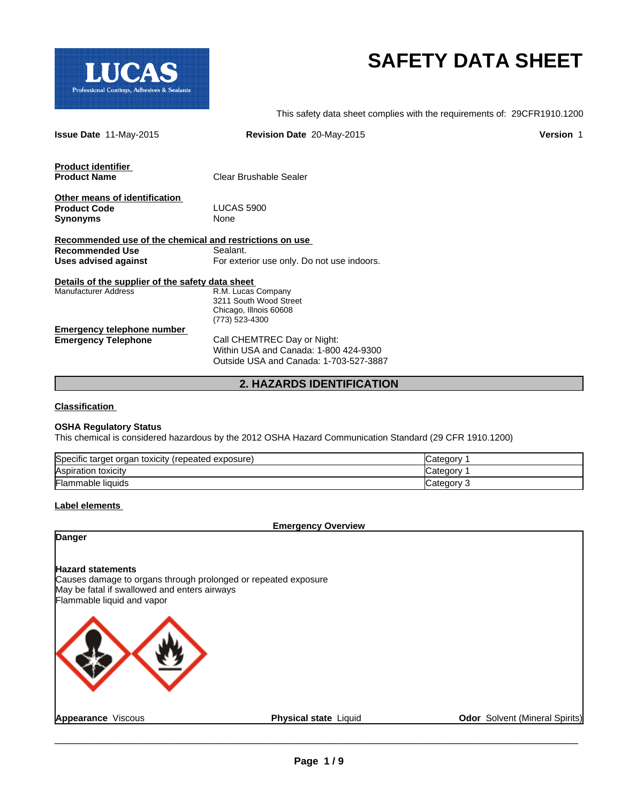

# **SAFETY DATA SHEET**

This safety data sheet complies with the requirements of: 29CFR1910.1200

| <b>Issue Date 11-May-2015</b>                           | Revision Date 20-May-2015                  | <b>Version 1</b> |  |
|---------------------------------------------------------|--------------------------------------------|------------------|--|
| <b>Product identifier</b>                               |                                            |                  |  |
| <b>Product Name</b>                                     | Clear Brushable Sealer                     |                  |  |
| Other means of identification                           |                                            |                  |  |
| <b>Product Code</b>                                     | <b>LUCAS 5900</b>                          |                  |  |
| <b>Synonyms</b>                                         | None                                       |                  |  |
| Recommended use of the chemical and restrictions on use |                                            |                  |  |
| <b>Recommended Use</b>                                  | Sealant.                                   |                  |  |
| Uses advised against                                    | For exterior use only. Do not use indoors. |                  |  |
| Details of the supplier of the safety data sheet        |                                            |                  |  |
| <b>Manufacturer Address</b>                             | R.M. Lucas Company                         |                  |  |
|                                                         | 3211 South Wood Street                     |                  |  |
|                                                         | Chicago, Illnois 60608                     |                  |  |
|                                                         | (773) 523-4300                             |                  |  |
| <b>Emergency telephone number</b>                       |                                            |                  |  |
| <b>Emergency Telephone</b>                              | Call CHEMTREC Day or Night:                |                  |  |
|                                                         | Within USA and Canada: 1-800 424-9300      |                  |  |
|                                                         | Outside USA and Canada: 1-703-527-3887     |                  |  |
|                                                         | <b>2. HAZARDS IDENTIFICATION</b>           |                  |  |

# **Classification**

#### **OSHA Regulatory Status**

This chemical is considered hazardous by the 2012 OSHA Hazard Communication Standard (29 CFR 1910.1200)

| Specific target organ toxicity<br>(repeated exposure) | 2 ategory. |
|-------------------------------------------------------|------------|
| Aspiration toxicity                                   | ″ ategory: |
| <b>Flammable liquids</b>                              | Category 3 |

### **Label elements**

**Emergency Overview**

# **Danger**

# **Hazard statements**

Causes damage to organs through prolonged or repeated exposure May be fatal if swallowed and enters airways Flammable liquid and vapor



**Appearance** Viscous **Physical state** Liquid **Odor** Solvent (Mineral Spirits)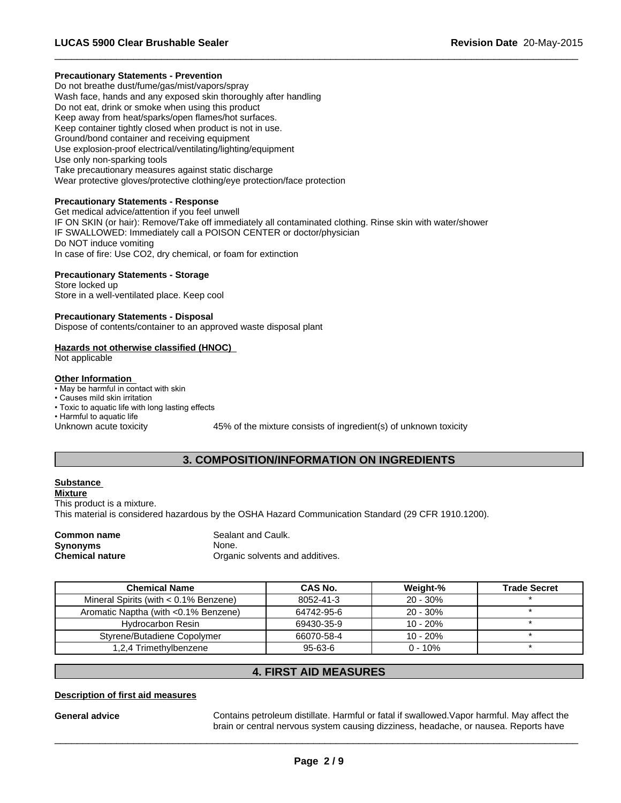# **Precautionary Statements - Prevention**

Do not breathe dust/fume/gas/mist/vapors/spray Wash face, hands and any exposed skin thoroughly after handling Do not eat, drink or smoke when using this product Keep away from heat/sparks/open flames/hot surfaces. Keep container tightly closed when product is not in use. Ground/bond container and receiving equipment Use explosion-proof electrical/ventilating/lighting/equipment Use only non-sparking tools Take precautionary measures against static discharge Wear protective gloves/protective clothing/eye protection/face protection

# **Precautionary Statements - Response**

Get medical advice/attention if you feel unwell IF ON SKIN (or hair): Remove/Take off immediately all contaminated clothing. Rinse skin with water/shower IF SWALLOWED: Immediately call a POISON CENTER or doctor/physician Do NOT induce vomiting In case of fire: Use CO2, dry chemical, or foam for extinction

# **Precautionary Statements - Storage**

Store locked up Store in a well-ventilated place. Keep cool

# **Precautionary Statements - Disposal**

Dispose of contents/container to an approved waste disposal plant

# **Hazards not otherwise classified (HNOC)**

Not applicable

# **Other Information**

- May be harmful in contact with skin
- Causes mild skin irritation
- Toxic to aquatic life with long lasting effects

• Harmful to aquatic life

Unknown acute toxicity 45% of the mixture consists of ingredient(s) of unknown toxicity

 $\overline{\phantom{a}}$  ,  $\overline{\phantom{a}}$  ,  $\overline{\phantom{a}}$  ,  $\overline{\phantom{a}}$  ,  $\overline{\phantom{a}}$  ,  $\overline{\phantom{a}}$  ,  $\overline{\phantom{a}}$  ,  $\overline{\phantom{a}}$  ,  $\overline{\phantom{a}}$  ,  $\overline{\phantom{a}}$  ,  $\overline{\phantom{a}}$  ,  $\overline{\phantom{a}}$  ,  $\overline{\phantom{a}}$  ,  $\overline{\phantom{a}}$  ,  $\overline{\phantom{a}}$  ,  $\overline{\phantom{a}}$ 

# **3. COMPOSITION/INFORMATION ON INGREDIENTS**

# **Substance**

**Mixture**

This product is a mixture.

This material is considered hazardous by the OSHA Hazard Communication Standard (29 CFR 1910.1200).

**Synonyms** None.

**Common name** Sealant and Caulk. **Chemical nature Chemical nature Chemical nature Chemical nature Chemical nature Chemical nature Chemical nature Chemical nature Chemical nature Chemical nature Chemical nature Chemical nature Chemi** 

| <b>Chemical Name</b>                     | CAS No.    | Weight-%    | <b>Trade Secret</b> |
|------------------------------------------|------------|-------------|---------------------|
| Mineral Spirits (with $< 0.1\%$ Benzene) | 8052-41-3  | $20 - 30\%$ |                     |
| Aromatic Naptha (with <0.1% Benzene)     | 64742-95-6 | $20 - 30\%$ |                     |
| <b>Hydrocarbon Resin</b>                 | 69430-35-9 | 10 - 20%    |                     |
| Styrene/Butadiene Copolymer              | 66070-58-4 | 10 - 20%    |                     |
| 1,2,4 Trimethylbenzene                   | 95-63-6    | $0 - 10\%$  |                     |

# **4. FIRST AID MEASURES**

# **Description of first aid measures**

**General advice** Contains petroleum distillate. Harmful or fatal if swallowed.Vapor harmful. May affect the brain or central nervous system causing dizziness, headache, or nausea. Reports have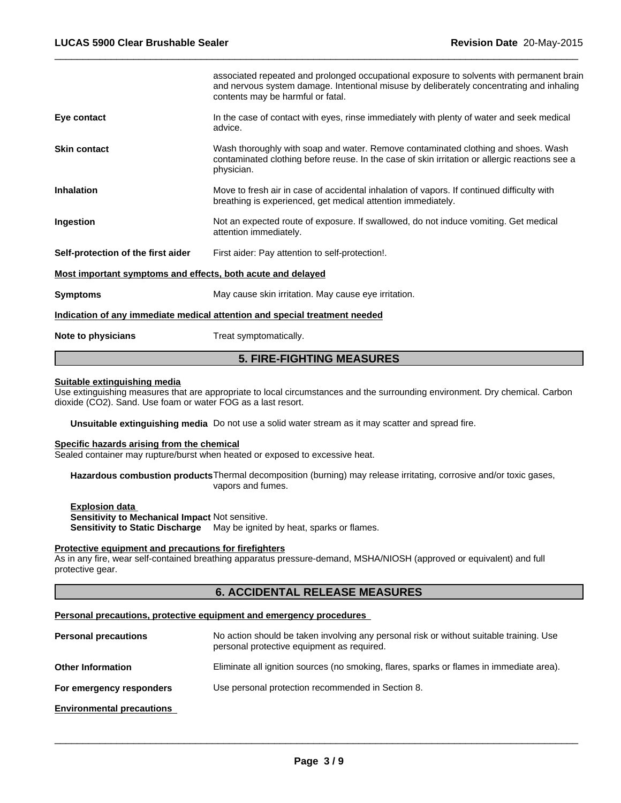| <b>5. FIRE-FIGHTING MEASURES</b>                            |                                                                                                                                                                                                                           |  |  |
|-------------------------------------------------------------|---------------------------------------------------------------------------------------------------------------------------------------------------------------------------------------------------------------------------|--|--|
| Note to physicians                                          | Treat symptomatically.                                                                                                                                                                                                    |  |  |
|                                                             | Indication of any immediate medical attention and special treatment needed                                                                                                                                                |  |  |
| <b>Symptoms</b>                                             | May cause skin irritation. May cause eye irritation.                                                                                                                                                                      |  |  |
| Most important symptoms and effects, both acute and delayed |                                                                                                                                                                                                                           |  |  |
| Self-protection of the first aider                          | First aider: Pay attention to self-protection!.                                                                                                                                                                           |  |  |
| Ingestion                                                   | Not an expected route of exposure. If swallowed, do not induce vomiting. Get medical<br>attention immediately.                                                                                                            |  |  |
| <b>Inhalation</b>                                           | Move to fresh air in case of accidental inhalation of vapors. If continued difficulty with<br>breathing is experienced, get medical attention immediately.                                                                |  |  |
| <b>Skin contact</b>                                         | Wash thoroughly with soap and water. Remove contaminated clothing and shoes. Wash<br>contaminated clothing before reuse. In the case of skin irritation or allergic reactions see a<br>physician.                         |  |  |
| Eye contact                                                 | In the case of contact with eyes, rinse immediately with plenty of water and seek medical<br>advice.                                                                                                                      |  |  |
|                                                             | associated repeated and prolonged occupational exposure to solvents with permanent brain<br>and nervous system damage. Intentional misuse by deliberately concentrating and inhaling<br>contents may be harmful or fatal. |  |  |
|                                                             |                                                                                                                                                                                                                           |  |  |

 $\overline{\phantom{a}}$  ,  $\overline{\phantom{a}}$  ,  $\overline{\phantom{a}}$  ,  $\overline{\phantom{a}}$  ,  $\overline{\phantom{a}}$  ,  $\overline{\phantom{a}}$  ,  $\overline{\phantom{a}}$  ,  $\overline{\phantom{a}}$  ,  $\overline{\phantom{a}}$  ,  $\overline{\phantom{a}}$  ,  $\overline{\phantom{a}}$  ,  $\overline{\phantom{a}}$  ,  $\overline{\phantom{a}}$  ,  $\overline{\phantom{a}}$  ,  $\overline{\phantom{a}}$  ,  $\overline{\phantom{a}}$ 

#### **Suitable extinguishing media**

Use extinguishing measures that are appropriate to local circumstances and the surrounding environment. Dry chemical. Carbon dioxide (CO2). Sand. Use foam or water FOG as a last resort.

**Unsuitable extinguishing media** Do not use a solid water stream as it may scatter and spread fire.

# **Specific hazards arising from the chemical**

Sealed container may rupture/burst when heated or exposed to excessive heat.

**Hazardous combustion products**Thermal decomposition (burning) may release irritating, corrosive and/or toxic gases, vapors and fumes.

**Explosion data Sensitivity to Mechanical Impact** Not sensitive. **Sensitivity to Static Discharge** May be ignited by heat, sparks or flames.

#### **Protective equipment and precautions for firefighters**

As in any fire, wear self-contained breathing apparatus pressure-demand, MSHA/NIOSH (approved or equivalent) and full protective gear.

# **6. ACCIDENTAL RELEASE MEASURES**

#### **Personal precautions, protective equipment and emergency procedures**

| <b>Personal precautions</b>      | No action should be taken involving any personal risk or without suitable training. Use<br>personal protective equipment as required. |
|----------------------------------|---------------------------------------------------------------------------------------------------------------------------------------|
| <b>Other Information</b>         | Eliminate all ignition sources (no smoking, flares, sparks or flames in immediate area).                                              |
| For emergency responders         | Use personal protection recommended in Section 8.                                                                                     |
| <b>Environmental precautions</b> |                                                                                                                                       |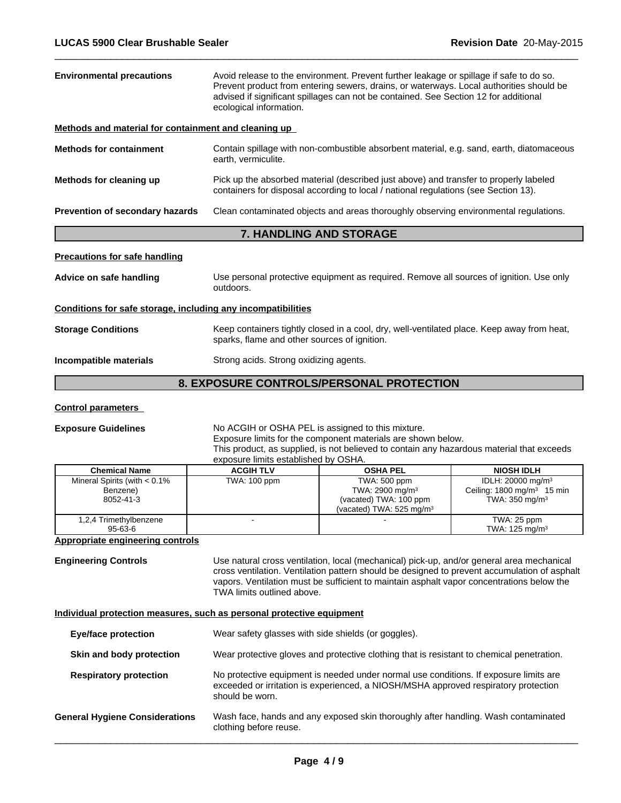| Avoid release to the environment. Prevent further leakage or spillage if safe to do so.<br><b>Environmental precautions</b><br>Prevent product from entering sewers, drains, or waterways. Local authorities should be<br>advised if significant spillages can not be contained. See Section 12 for additional<br>ecological information. |                                                                                                                                                                              |  |  |
|-------------------------------------------------------------------------------------------------------------------------------------------------------------------------------------------------------------------------------------------------------------------------------------------------------------------------------------------|------------------------------------------------------------------------------------------------------------------------------------------------------------------------------|--|--|
| Methods and material for containment and cleaning up                                                                                                                                                                                                                                                                                      |                                                                                                                                                                              |  |  |
| <b>Methods for containment</b>                                                                                                                                                                                                                                                                                                            | Contain spillage with non-combustible absorbent material, e.g. sand, earth, diatomaceous<br>earth, vermiculite.                                                              |  |  |
| Methods for cleaning up                                                                                                                                                                                                                                                                                                                   | Pick up the absorbed material (described just above) and transfer to properly labeled<br>containers for disposal according to local / national regulations (see Section 13). |  |  |
| Prevention of secondary hazards                                                                                                                                                                                                                                                                                                           | Clean contaminated objects and areas thoroughly observing environmental regulations.                                                                                         |  |  |
|                                                                                                                                                                                                                                                                                                                                           | <b>7. HANDLING AND STORAGE</b>                                                                                                                                               |  |  |
| <b>Precautions for safe handling</b>                                                                                                                                                                                                                                                                                                      |                                                                                                                                                                              |  |  |
| Advice on safe handling                                                                                                                                                                                                                                                                                                                   | Use personal protective equipment as required. Remove all sources of ignition. Use only<br>outdoors.                                                                         |  |  |
| Conditions for safe storage, including any incompatibilities                                                                                                                                                                                                                                                                              |                                                                                                                                                                              |  |  |
| <b>Storage Conditions</b>                                                                                                                                                                                                                                                                                                                 | Keep containers tightly closed in a cool, dry, well-ventilated place. Keep away from heat,<br>sparks, flame and other sources of ignition.                                   |  |  |
| Incompatible materials                                                                                                                                                                                                                                                                                                                    | Strong acids. Strong oxidizing agents.                                                                                                                                       |  |  |
|                                                                                                                                                                                                                                                                                                                                           | 8. EXPOSURE CONTROLS/PERSONAL PROTECTION                                                                                                                                     |  |  |

 $\overline{\phantom{a}}$  ,  $\overline{\phantom{a}}$  ,  $\overline{\phantom{a}}$  ,  $\overline{\phantom{a}}$  ,  $\overline{\phantom{a}}$  ,  $\overline{\phantom{a}}$  ,  $\overline{\phantom{a}}$  ,  $\overline{\phantom{a}}$  ,  $\overline{\phantom{a}}$  ,  $\overline{\phantom{a}}$  ,  $\overline{\phantom{a}}$  ,  $\overline{\phantom{a}}$  ,  $\overline{\phantom{a}}$  ,  $\overline{\phantom{a}}$  ,  $\overline{\phantom{a}}$  ,  $\overline{\phantom{a}}$ 

# **Control parameters**

#### **Exposure Guidelines** No ACGIH or OSHA PEL is assigned to this mixture. Exposure limits for the component materials are shown below. This product, as supplied, is not believed to contain any hazardous material that exceeds exposure limits established by OSHA.

| <b>Chemical Name</b>                                     | <b>ACGIH TLV</b> | <b>OSHA PEL</b>                                                                                             | <b>NIOSH IDLH</b>                                                                                   |  |
|----------------------------------------------------------|------------------|-------------------------------------------------------------------------------------------------------------|-----------------------------------------------------------------------------------------------------|--|
| Mineral Spirits (with $< 0.1\%$<br>Benzene)<br>8052-41-3 | TWA: 100 ppm     | TWA: 500 ppm<br>TWA: $2900 \text{ mg/m}^3$<br>(vacated) TWA: 100 ppm<br>(vacated) TWA: $525 \text{ mg/m}^3$ | IDLH: 20000 mg/m <sup>3</sup><br>Ceiling: $1800 \text{ mg/m}^3$ 15 min<br>TWA: $350 \text{ mg/m}^3$ |  |
| 1,2,4 Trimethylbenzene<br>95-63-6                        |                  |                                                                                                             | TWA: 25 ppm<br>TWA: $125 \text{ mg/m}^3$                                                            |  |

# **Appropriate engineering controls**

**Engineering Controls** Use natural cross ventilation, local (mechanical) pick-up, and/or general area mechanical cross ventilation. Ventilation pattern should be designed to prevent accumulation of asphalt vapors. Ventilation must be sufficient to maintain asphalt vapor concentrations below the TWA limits outlined above.

# **Individual protection measures, such as personal protective equipment**

| Wear safety glasses with side shields (or goggles).<br><b>Eye/face protection</b> |                                                                                                                                                                                                 |  |
|-----------------------------------------------------------------------------------|-------------------------------------------------------------------------------------------------------------------------------------------------------------------------------------------------|--|
| Skin and body protection                                                          | Wear protective gloves and protective clothing that is resistant to chemical penetration.                                                                                                       |  |
| <b>Respiratory protection</b>                                                     | No protective equipment is needed under normal use conditions. If exposure limits are<br>exceeded or irritation is experienced, a NIOSH/MSHA approved respiratory protection<br>should be worn. |  |
| <b>General Hygiene Considerations</b>                                             | Wash face, hands and any exposed skin thoroughly after handling. Wash contaminated<br>clothing before reuse.                                                                                    |  |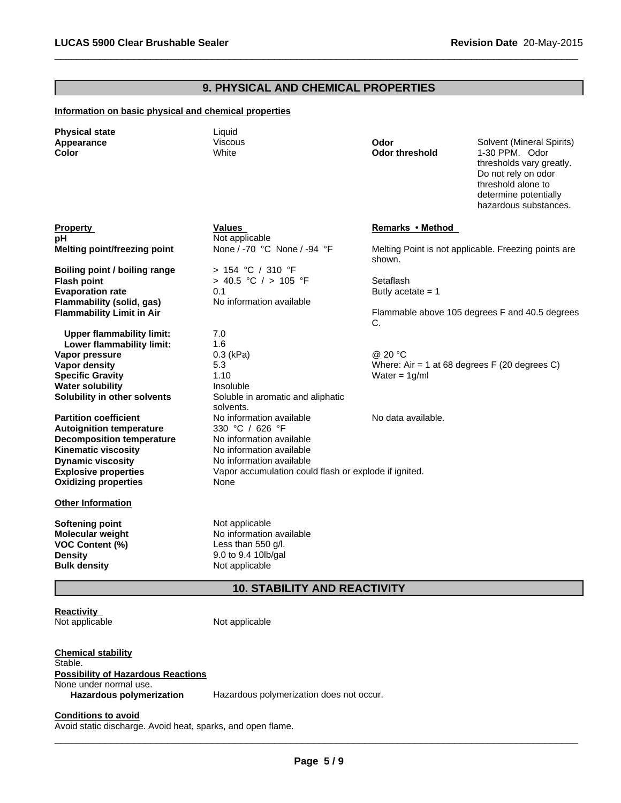# **9. PHYSICAL AND CHEMICAL PROPERTIES**

 $\overline{\phantom{a}}$  ,  $\overline{\phantom{a}}$  ,  $\overline{\phantom{a}}$  ,  $\overline{\phantom{a}}$  ,  $\overline{\phantom{a}}$  ,  $\overline{\phantom{a}}$  ,  $\overline{\phantom{a}}$  ,  $\overline{\phantom{a}}$  ,  $\overline{\phantom{a}}$  ,  $\overline{\phantom{a}}$  ,  $\overline{\phantom{a}}$  ,  $\overline{\phantom{a}}$  ,  $\overline{\phantom{a}}$  ,  $\overline{\phantom{a}}$  ,  $\overline{\phantom{a}}$  ,  $\overline{\phantom{a}}$ 

# **Information on basic physical and chemical properties**

| <b>Physical state</b><br>Appearance<br>Color                                                                  | Liquid<br><b>Viscous</b><br>White                                                                           | Odor<br><b>Odor threshold</b>                  | Solvent (Mineral Spirits)<br>1-30 PPM. Odor<br>thresholds vary greatly.<br>Do not rely on odor<br>threshold alone to<br>determine potentially<br>hazardous substances. |
|---------------------------------------------------------------------------------------------------------------|-------------------------------------------------------------------------------------------------------------|------------------------------------------------|------------------------------------------------------------------------------------------------------------------------------------------------------------------------|
| <b>Property</b>                                                                                               | Values                                                                                                      | Remarks • Method                               |                                                                                                                                                                        |
| pН                                                                                                            | Not applicable                                                                                              |                                                |                                                                                                                                                                        |
| <b>Melting point/freezing point</b>                                                                           | None / -70 °C None / -94 °F                                                                                 | shown.                                         | Melting Point is not applicable. Freezing points are                                                                                                                   |
| Boiling point / boiling range                                                                                 | > 154 °C / 310 °F                                                                                           |                                                |                                                                                                                                                                        |
| <b>Flash point</b>                                                                                            | > 40.5 °C / > 105 °F                                                                                        | Setaflash                                      |                                                                                                                                                                        |
| <b>Evaporation rate</b>                                                                                       | 0.1                                                                                                         | Butly acetate $= 1$                            |                                                                                                                                                                        |
| Flammability (solid, gas)                                                                                     | No information available                                                                                    |                                                |                                                                                                                                                                        |
| <b>Flammability Limit in Air</b>                                                                              |                                                                                                             | C.                                             | Flammable above 105 degrees F and 40.5 degrees                                                                                                                         |
| <b>Upper flammability limit:</b>                                                                              | 7.0                                                                                                         |                                                |                                                                                                                                                                        |
| Lower flammability limit:                                                                                     | 1.6                                                                                                         |                                                |                                                                                                                                                                        |
| Vapor pressure                                                                                                | $0.3$ (kPa)                                                                                                 | @ 20 °C                                        |                                                                                                                                                                        |
| <b>Vapor density</b>                                                                                          | 5.3                                                                                                         | Where: Air = 1 at 68 degrees $F(20$ degrees C) |                                                                                                                                                                        |
| <b>Specific Gravity</b>                                                                                       | 1.10                                                                                                        | Water = $1g/ml$                                |                                                                                                                                                                        |
| <b>Water solubility</b>                                                                                       | Insoluble                                                                                                   |                                                |                                                                                                                                                                        |
| Solubility in other solvents                                                                                  | Soluble in aromatic and aliphatic<br>solvents.                                                              |                                                |                                                                                                                                                                        |
| <b>Partition coefficient</b>                                                                                  | No information available                                                                                    | No data available.                             |                                                                                                                                                                        |
| <b>Autoignition temperature</b>                                                                               | 330 °C / 626 °F                                                                                             |                                                |                                                                                                                                                                        |
| <b>Decomposition temperature</b>                                                                              | No information available                                                                                    |                                                |                                                                                                                                                                        |
| <b>Kinematic viscosity</b>                                                                                    | No information available                                                                                    |                                                |                                                                                                                                                                        |
| <b>Dynamic viscosity</b>                                                                                      | No information available                                                                                    |                                                |                                                                                                                                                                        |
| <b>Explosive properties</b><br><b>Oxidizing properties</b>                                                    | Vapor accumulation could flash or explode if ignited.<br>None                                               |                                                |                                                                                                                                                                        |
|                                                                                                               |                                                                                                             |                                                |                                                                                                                                                                        |
| <b>Other Information</b>                                                                                      |                                                                                                             |                                                |                                                                                                                                                                        |
| <b>Softening point</b><br>Molecular weight<br><b>VOC Content (%)</b><br><b>Density</b><br><b>Bulk density</b> | Not applicable<br>No information available<br>Less than $550$ g/l.<br>9.0 to 9.4 10lb/gal<br>Not applicable |                                                |                                                                                                                                                                        |

# **10. STABILITY AND REACTIVITY**

**Reactivity**<br>Not applicable

Not applicable

**Chemical stability** Stable. **Possibility of Hazardous Reactions** None under normal use. **Hazardous polymerization** Hazardous polymerization does not occur.

**Conditions to avoid**

Avoid static discharge. Avoid heat, sparks, and open flame.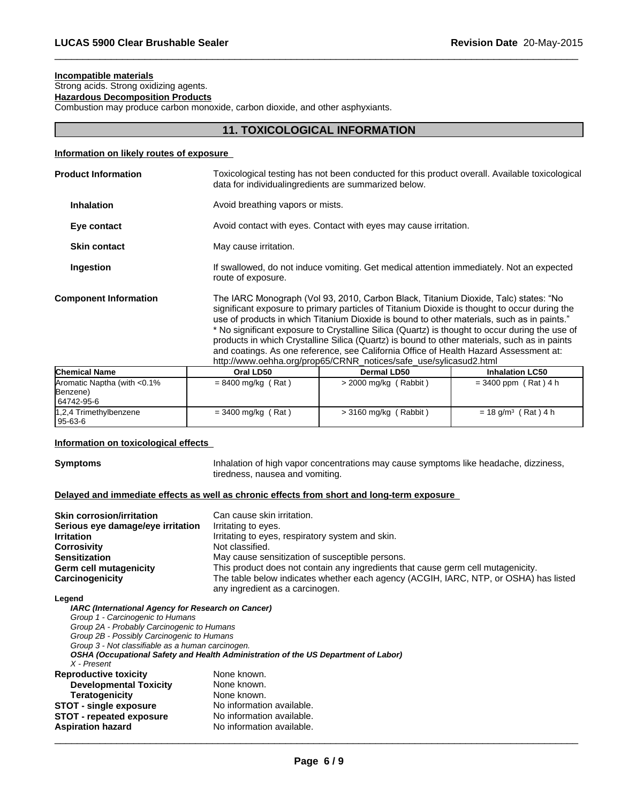# **Incompatible materials**

Strong acids. Strong oxidizing agents.

**Hazardous Decomposition Products**

Combustion may produce carbon monoxide, carbon dioxide, and other asphyxiants.

# **11. TOXICOLOGICAL INFORMATION**

 $\overline{\phantom{a}}$  ,  $\overline{\phantom{a}}$  ,  $\overline{\phantom{a}}$  ,  $\overline{\phantom{a}}$  ,  $\overline{\phantom{a}}$  ,  $\overline{\phantom{a}}$  ,  $\overline{\phantom{a}}$  ,  $\overline{\phantom{a}}$  ,  $\overline{\phantom{a}}$  ,  $\overline{\phantom{a}}$  ,  $\overline{\phantom{a}}$  ,  $\overline{\phantom{a}}$  ,  $\overline{\phantom{a}}$  ,  $\overline{\phantom{a}}$  ,  $\overline{\phantom{a}}$  ,  $\overline{\phantom{a}}$ 

# **Information on likely routes of exposure**

| <b>Product Information</b>   | Toxicological testing has not been conducted for this product overall. Available toxicological<br>data for individualing redients are summarized below.                                                                                                                                                                                                                                                                                                                                                                                                                                                                                           |  |
|------------------------------|---------------------------------------------------------------------------------------------------------------------------------------------------------------------------------------------------------------------------------------------------------------------------------------------------------------------------------------------------------------------------------------------------------------------------------------------------------------------------------------------------------------------------------------------------------------------------------------------------------------------------------------------------|--|
| <b>Inhalation</b>            | Avoid breathing vapors or mists.                                                                                                                                                                                                                                                                                                                                                                                                                                                                                                                                                                                                                  |  |
| Eye contact                  | Avoid contact with eyes. Contact with eyes may cause irritation.                                                                                                                                                                                                                                                                                                                                                                                                                                                                                                                                                                                  |  |
| <b>Skin contact</b>          | May cause irritation.                                                                                                                                                                                                                                                                                                                                                                                                                                                                                                                                                                                                                             |  |
| Ingestion                    | If swallowed, do not induce vomiting. Get medical attention immediately. Not an expected<br>route of exposure.                                                                                                                                                                                                                                                                                                                                                                                                                                                                                                                                    |  |
| <b>Component Information</b> | The IARC Monograph (Vol 93, 2010, Carbon Black, Titanium Dioxide, Talc) states: "No<br>significant exposure to primary particles of Titanium Dioxide is thought to occur during the<br>use of products in which Titanium Dioxide is bound to other materials, such as in paints."<br>* No significant exposure to Crystalline Silica (Quartz) is thought to occur during the use of<br>products in which Crystalline Silica (Quartz) is bound to other materials, such as in paints<br>and coatings. As one reference, see California Office of Health Hazard Assessment at:<br>http://www.oehha.org/prop65/CRNR_notices/safe_use/sylicasud2.html |  |
|                              |                                                                                                                                                                                                                                                                                                                                                                                                                                                                                                                                                                                                                                                   |  |

| <b>Chemical Name</b>         | Oral LD50            | Dermal LD50             | <b>Inhalation LC50</b>            |
|------------------------------|----------------------|-------------------------|-----------------------------------|
| Aromatic Naptha (with <0.1%) | $= 8400$ mg/kg (Rat) | $>$ 2000 mg/kg (Rabbit) | $= 3400$ ppm (Rat) 4 h            |
| Benzene)                     |                      |                         |                                   |
| 64742-95-6                   |                      |                         |                                   |
| 1,2,4 Trimethylbenzene       | $= 3400$ mg/kg (Rat) | $>$ 3160 mg/kg (Rabbit) | $= 18$ g/m <sup>3</sup> (Rat) 4 h |
| 95-63-6                      |                      |                         |                                   |

# **Information on toxicological effects**

**Symptoms Inhalation of high vapor concentrations may cause symptoms like headache, dizziness,** tiredness, nausea and vomiting.

# **Delayed and immediate effects as well as chronic effects from short and long-term exposure**

| <b>Skin corrosion/irritation</b>  | Can cause skin irritation.                                                           |
|-----------------------------------|--------------------------------------------------------------------------------------|
| Serious eye damage/eye irritation | Irritating to eyes.                                                                  |
| <b>Irritation</b>                 | Irritating to eyes, respiratory system and skin.                                     |
| <b>Corrosivity</b>                | Not classified.                                                                      |
| <b>Sensitization</b>              | May cause sensitization of susceptible persons.                                      |
| Germ cell mutagenicity            | This product does not contain any ingredients that cause germ cell mutagenicity.     |
| Carcinogenicity                   | The table below indicates whether each agency (ACGIH, IARC, NTP, or OSHA) has listed |
|                                   | any ingredient as a carcinogen.                                                      |

# **Legend**

| IARC (International Agency for Research on Cancer) |                                                                                    |
|----------------------------------------------------|------------------------------------------------------------------------------------|
| Group 1 - Carcinogenic to Humans                   |                                                                                    |
| Group 2A - Probably Carcinogenic to Humans         |                                                                                    |
| Group 2B - Possibly Carcinogenic to Humans         |                                                                                    |
| Group 3 - Not classifiable as a human carcinogen.  |                                                                                    |
|                                                    | OSHA (Occupational Safety and Health Administration of the US Department of Labor) |
| X - Present                                        |                                                                                    |
| <b>Reproductive toxicity</b>                       | None known.                                                                        |
| <b>Developmental Toxicity</b>                      | None known.                                                                        |
| <b>Teratogenicity</b>                              | None known.                                                                        |
| <b>STOT - single exposure</b>                      | No information available.                                                          |
| <b>STOT - repeated exposure</b>                    | No information available.                                                          |
| <b>Aspiration hazard</b>                           | No information available.                                                          |
|                                                    |                                                                                    |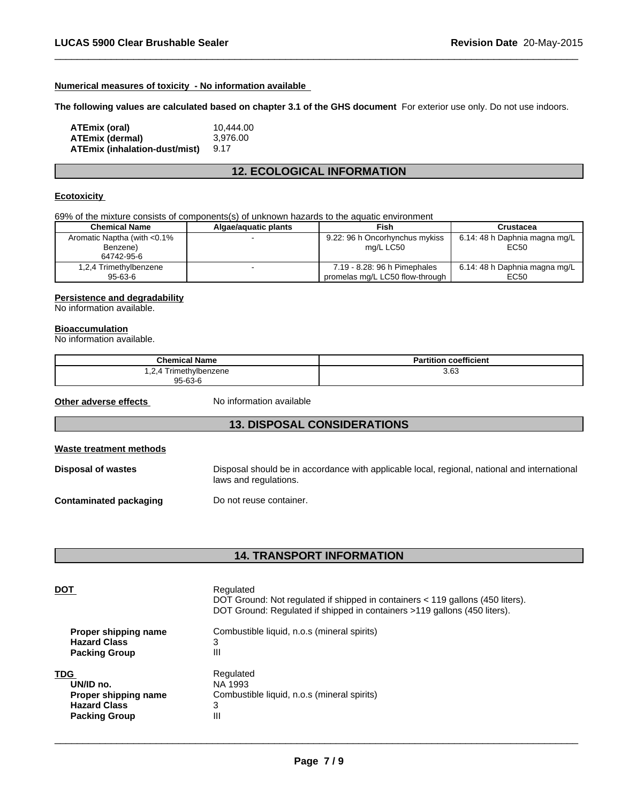# **Numerical measures of toxicity - No information available**

**The following values are calculated based on chapter 3.1 of the GHS document** For exterior use only. Do not use indoors.

 $\overline{\phantom{a}}$  ,  $\overline{\phantom{a}}$  ,  $\overline{\phantom{a}}$  ,  $\overline{\phantom{a}}$  ,  $\overline{\phantom{a}}$  ,  $\overline{\phantom{a}}$  ,  $\overline{\phantom{a}}$  ,  $\overline{\phantom{a}}$  ,  $\overline{\phantom{a}}$  ,  $\overline{\phantom{a}}$  ,  $\overline{\phantom{a}}$  ,  $\overline{\phantom{a}}$  ,  $\overline{\phantom{a}}$  ,  $\overline{\phantom{a}}$  ,  $\overline{\phantom{a}}$  ,  $\overline{\phantom{a}}$ 

| ATEmix (oral)                 | 10.444.00 |
|-------------------------------|-----------|
| ATEmix (dermal)               | 3.976.00  |
| ATEmix (inhalation-dust/mist) | 9.17      |

# **12. ECOLOGICAL INFORMATION**

# **Ecotoxicity**

69% of the mixture consists of components(s) of unknown hazards to the aquatic environment

| <b>Chemical Name</b>         | Algae/aguatic plants | Fish                            | Crustacea                     |
|------------------------------|----------------------|---------------------------------|-------------------------------|
| Aromatic Naptha (with <0.1%) |                      | 9.22: 96 h Oncorhynchus mykiss  | 6.14: 48 h Daphnia magna mg/L |
| Benzene)                     |                      | ma/L LC50                       | EC50                          |
| 64742-95-6                   |                      |                                 |                               |
| 1,2,4 Trimethylbenzene       |                      | 7.19 - 8.28: 96 h Pimephales    | 6.14: 48 h Daphnia magna mg/L |
| 95-63-6                      |                      | promelas mg/L LC50 flow-through | EC50                          |

# **Persistence and degradability**

No information available.

#### **Bioaccumulation**

No information available.

| <b>Chemical Name</b>             | coefficient<br>∍∼<br>artitior <sup>.</sup> |
|----------------------------------|--------------------------------------------|
| Trimethylbenzene<br>. <u>.</u> . | 3.63                                       |
| 95-63-6                          |                                            |

**Other adverse effects** No information available

# **13. DISPOSAL CONSIDERATIONS**

#### **Waste treatment methods**

Disposal of wastes **Disposal should be in accordance with applicable local, regional, national and international** laws and regulations.

**Contaminated packaging Do not reuse container.** 

# **14. TRANSPORT INFORMATION**

| <b>DOT</b>           | Regulated<br>DOT Ground: Not regulated if shipped in containers < 119 gallons (450 liters).<br>DOT Ground: Regulated if shipped in containers >119 gallons (450 liters). |
|----------------------|--------------------------------------------------------------------------------------------------------------------------------------------------------------------------|
| Proper shipping name | Combustible liquid, n.o.s (mineral spirits)                                                                                                                              |
| <b>Hazard Class</b>  | 3                                                                                                                                                                        |
| <b>Packing Group</b> | Ш                                                                                                                                                                        |
| <b>TDG</b>           | Regulated                                                                                                                                                                |
| UN/ID no.            | NA 1993                                                                                                                                                                  |
| Proper shipping name | Combustible liquid, n.o.s (mineral spirits)                                                                                                                              |
| <b>Hazard Class</b>  | 3                                                                                                                                                                        |
| <b>Packing Group</b> | Ш                                                                                                                                                                        |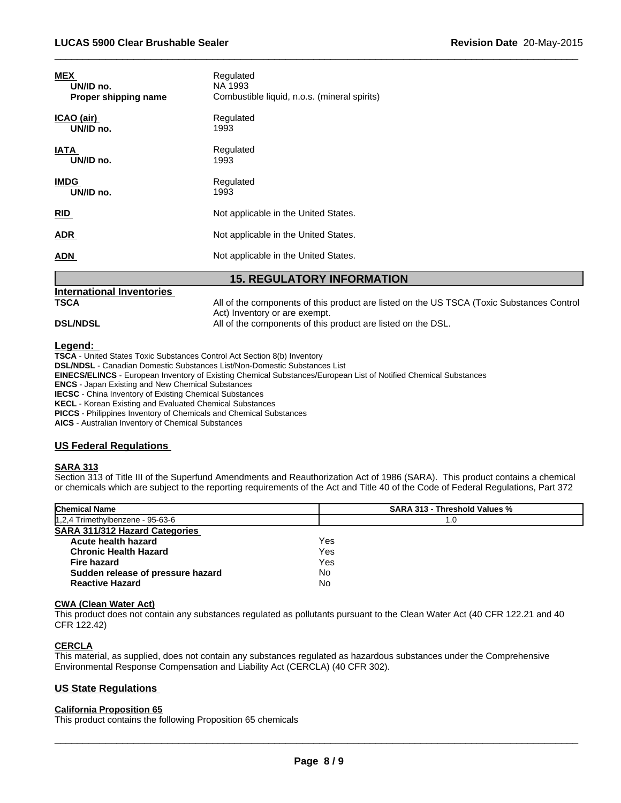| <b>MEX</b>           | Regulated                                    |
|----------------------|----------------------------------------------|
| UN/ID no.            | NA 1993                                      |
| Proper shipping name | Combustible liquid, n.o.s. (mineral spirits) |
| ICAO (air)           | Regulated                                    |
| UN/ID no.            | 1993                                         |
| <b>IATA</b>          | Regulated                                    |
| UN/ID no.            | 1993                                         |
| <b>IMDG</b>          | Regulated                                    |
| UN/ID no.            | 1993                                         |
| <b>RID</b>           | Not applicable in the United States.         |
| <b>ADR</b>           | Not applicable in the United States.         |
| <b>ADN</b>           | Not applicable in the United States.         |

# **15. REGULATORY INFORMATION**

# **International Inventories**

**TSCA** All of the components of this product are listed on the US TSCA (Toxic Substances Control Act) Inventory or are exempt. **DSL/NDSL All of the components of this product are listed on the DSL.** 

 $\overline{\phantom{a}}$  ,  $\overline{\phantom{a}}$  ,  $\overline{\phantom{a}}$  ,  $\overline{\phantom{a}}$  ,  $\overline{\phantom{a}}$  ,  $\overline{\phantom{a}}$  ,  $\overline{\phantom{a}}$  ,  $\overline{\phantom{a}}$  ,  $\overline{\phantom{a}}$  ,  $\overline{\phantom{a}}$  ,  $\overline{\phantom{a}}$  ,  $\overline{\phantom{a}}$  ,  $\overline{\phantom{a}}$  ,  $\overline{\phantom{a}}$  ,  $\overline{\phantom{a}}$  ,  $\overline{\phantom{a}}$ 

# **Legend:**

**TSCA** - United States Toxic Substances Control Act Section 8(b) Inventory **DSL/NDSL** - Canadian Domestic Substances List/Non-Domestic Substances List **EINECS/ELINCS** - European Inventory of Existing Chemical Substances/European List of Notified Chemical Substances **ENCS** - Japan Existing and New Chemical Substances **IECSC** - China Inventory of Existing Chemical Substances **KECL** - Korean Existing and Evaluated Chemical Substances **PICCS** - Philippines Inventory of Chemicals and Chemical Substances

**AICS** - Australian Inventory of Chemical Substances

# **US Federal Regulations**

# **SARA 313**

Section 313 of Title III of the Superfund Amendments and Reauthorization Act of 1986 (SARA). This product contains a chemical or chemicals which are subject to the reporting requirements of the Act and Title 40 of the Code of Federal Regulations, Part 372

| <b>Chemical Name</b>              | <b>SARA 313 - Threshold Values %</b> |  |
|-----------------------------------|--------------------------------------|--|
| 1,2,4 Trimethylbenzene - 95-63-6  | 1.0                                  |  |
| SARA 311/312 Hazard Categories    |                                      |  |
| Acute health hazard               | Yes                                  |  |
| <b>Chronic Health Hazard</b>      | Yes                                  |  |
| <b>Fire hazard</b>                | Yes                                  |  |
| Sudden release of pressure hazard | No                                   |  |
| <b>Reactive Hazard</b>            | No                                   |  |

# **CWA (Clean Water Act)**

This product does not contain any substances regulated as pollutants pursuant to the Clean Water Act (40 CFR 122.21 and 40 CFR 122.42)

# **CERCLA**

This material, as supplied, does not contain any substances regulated as hazardous substances under the Comprehensive Environmental Response Compensation and Liability Act (CERCLA) (40 CFR 302).

# **US State Regulations**

# **California Proposition 65**

This product contains the following Proposition 65 chemicals